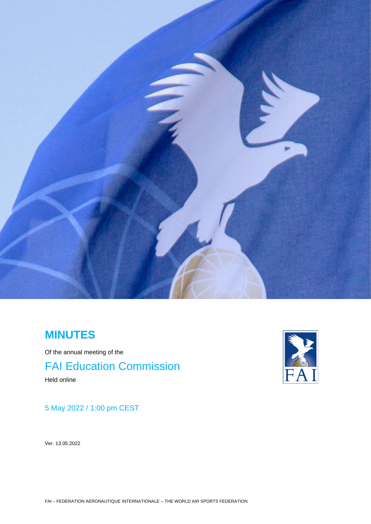

# **MINUTES**

Of the annual meeting of the FAI Education Commission Held online

# 5 May 2022 / 1:00 pm CEST

Ver. 13.05.2022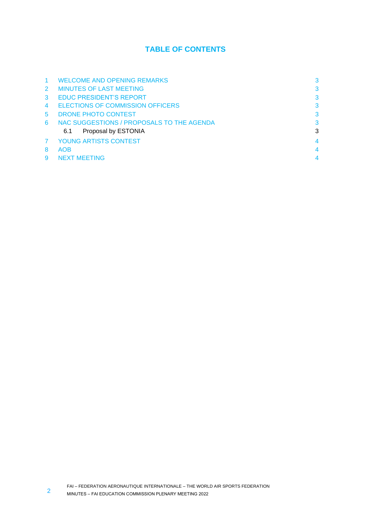# **TABLE OF CONTENTS**

|               | <b>WELCOME AND OPENING REMARKS</b>        | 3 |
|---------------|-------------------------------------------|---|
| $\mathcal{P}$ | <b>MINUTES OF LAST MEETING</b>            | 3 |
| 3             | <b>EDUC PRESIDENT'S REPORT</b>            | 3 |
|               | <b>ELECTIONS OF COMMISSION OFFICERS</b>   | 3 |
| 5             | DRONE PHOTO CONTEST                       | 3 |
| 6             | NAC SUGGESTIONS / PROPOSALS TO THE AGENDA | 3 |
|               | Proposal by ESTONIA<br>6.1                | 3 |
|               | YOUNG ARTISTS CONTEST                     | 4 |
| 8             | <b>AOB</b>                                | 4 |
|               | <b>NEXT MEETING</b>                       |   |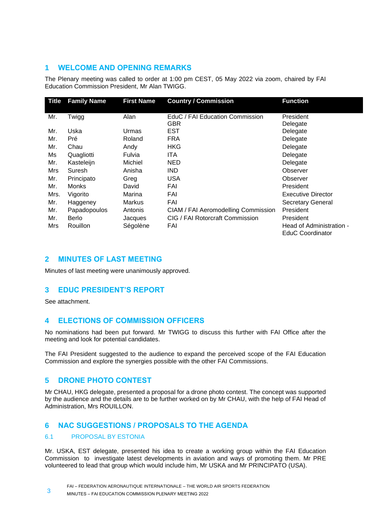#### <span id="page-2-0"></span>**1 WELCOME AND OPENING REMARKS**

The Plenary meeting was called to order at 1:00 pm CEST, 05 May 2022 via zoom, chaired by FAI Education Commission President, Mr Alan TWIGG.

| <b>Title</b> | <b>Family Name</b> | <b>First Name</b> | <b>Country / Commission</b>         | <b>Function</b>           |
|--------------|--------------------|-------------------|-------------------------------------|---------------------------|
|              |                    |                   |                                     |                           |
| Mr.          | Twigg              | Alan              | EduC / FAI Education Commission     | President                 |
|              |                    |                   | GBR                                 | Delegate                  |
| Mr.          | Uska               | Urmas             | EST                                 | Delegate                  |
| Mr.          | Pré                | Roland            | <b>FRA</b>                          | Delegate                  |
| Mr.          | Chau               | Andy              | <b>HKG</b>                          | Delegate                  |
| Ms           | Quagliotti         | Fulvia            | ITA                                 | Delegate                  |
| Mr.          | Kasteleijn         | Michiel           | <b>NED</b>                          | Delegate                  |
| Mrs          | Suresh             | Anisha            | <b>IND</b>                          | Observer                  |
| Mr.          | Principato         | Greg              | <b>USA</b>                          | Observer                  |
| Mr.          | <b>Monks</b>       | David             | FAI                                 | President                 |
| Mrs.         | Vigorito           | Marina            | FAI                                 | <b>Executive Director</b> |
| Mr.          | Haggeney           | <b>Markus</b>     | FAI                                 | <b>Secretary General</b>  |
| Mr.          | Papadopoulos       | Antonis           | CIAM / FAI Aeromodelling Commission | President                 |
| Mr.          | Berlo              | Jacques           | CIG / FAI Rotorcraft Commission     | President                 |
| Mrs          | <b>Rouillon</b>    | Ségolène          | FAI                                 | Head of Administration -  |
|              |                    |                   |                                     | EduC Coordinator          |

### <span id="page-2-1"></span>**2 MINUTES OF LAST MEETING**

Minutes of last meeting were unanimously approved.

## <span id="page-2-2"></span>**3 EDUC PRESIDENT'S REPORT**

See attachment.

## <span id="page-2-3"></span>**4 ELECTIONS OF COMMISSION OFFICERS**

No nominations had been put forward. Mr TWIGG to discuss this further with FAI Office after the meeting and look for potential candidates.

The FAI President suggested to the audience to expand the perceived scope of the FAI Education Commission and explore the synergies possible with the other FAI Commissions.

#### <span id="page-2-4"></span>**5 DRONE PHOTO CONTEST**

Mr CHAU, HKG delegate, presented a proposal for a drone photo contest. The concept was supported by the audience and the details are to be further worked on by Mr CHAU, with the help of FAI Head of Administration, Mrs ROUILLON.

#### <span id="page-2-5"></span>**6 NAC SUGGESTIONS / PROPOSALS TO THE AGENDA**

#### <span id="page-2-6"></span>6.1 PROPOSAL BY ESTONIA

Mr. USKA, EST delegate, presented his idea to create a working group within the FAI Education Commission to investigate latest developments in aviation and ways of promoting them. Mr PRE volunteered to lead that group which would include him, Mr USKA and Mr PRINCIPATO (USA).